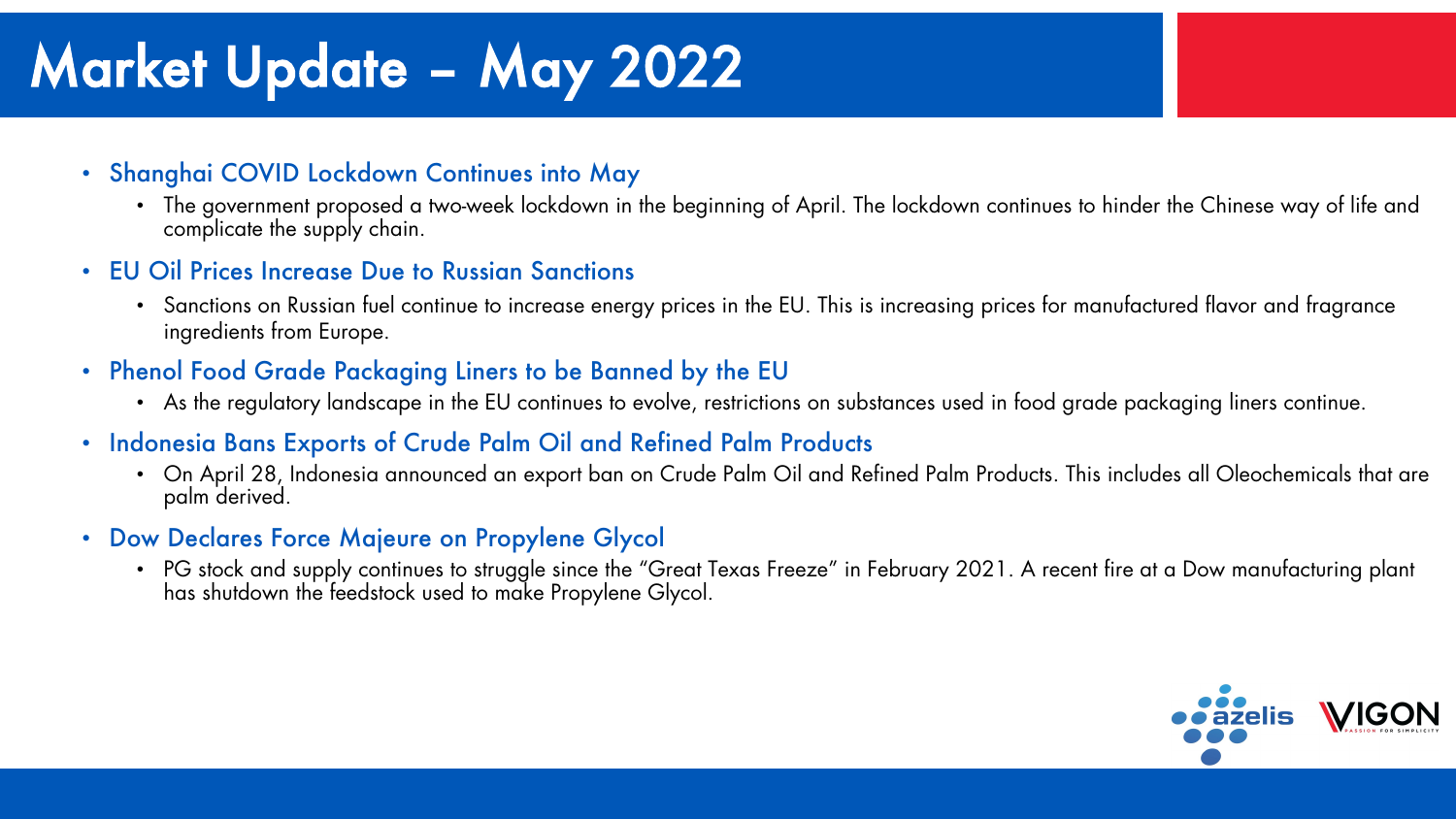# Market Update – May 2022

#### • Shanghai COVID Lockdown Continues into May

- The government proposed a two-week lockdown in the beginning of April. The lockdown continues to hinder the Chinese way of life and complicate the supply chain.
- EU Oil Prices Increase Due to Russian Sanctions
	- Sanctions on Russian fuel continue to increase energy prices in the EU. This is increasing prices for manufactured flavor and fragrance ingredients from Europe.
- Phenol Food Grade Packaging Liners to be Banned by the EU
	- As the regulatory landscape in the EU continues to evolve, restrictions on substances used in food grade packaging liners continue.
- Indonesia Bans Exports of Crude Palm Oil and Refined Palm Products
	- On April 28, Indonesia announced an export ban on Crude Palm Oil and Refined Palm Products. This includes all Oleochemicals that are palm derived.
- Dow Declares Force Majeure on Propylene Glycol
	- PG stock and supply continues to struggle since the "Great Texas Freeze" in February 2021. A recent fire at a Dow manufacturing plant has shutdown the feedstock used to make Propylene Glycol.

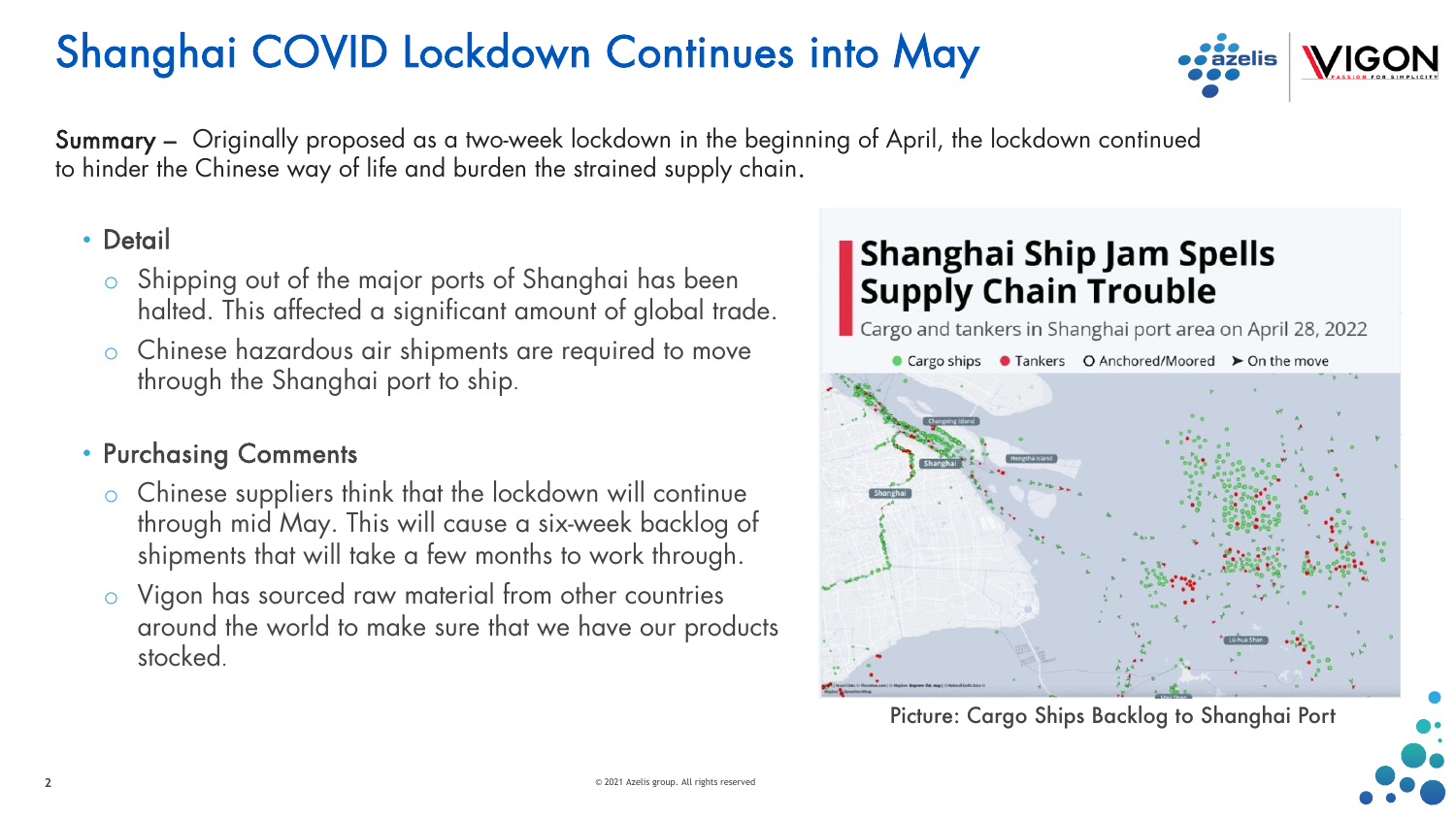## Shanghai COVID Lockdown Continues into May



Summary – Originally proposed as a two-week lockdown in the beginning of April, the lockdown continued to hinder the Chinese way of life and burden the strained supply chain.

#### • Detail

- o Shipping out of the major ports of Shanghai has been halted. This affected a significant amount of global trade.
- o Chinese hazardous air shipments are required to move through the Shanghai port to ship.

#### • Purchasing Comments

- o Chinese suppliers think that the lockdown will continue through mid May. This will cause a six-week backlog of shipments that will take a few months to work through.
- Vigon has sourced raw material from other countries around the world to make sure that we have our products stocked.

### **Shanghai Ship Jam Spells Supply Chain Trouble**

Cargo and tankers in Shanghai port area on April 28, 2022



Picture: Cargo Ships Backlog to Shanghai Port

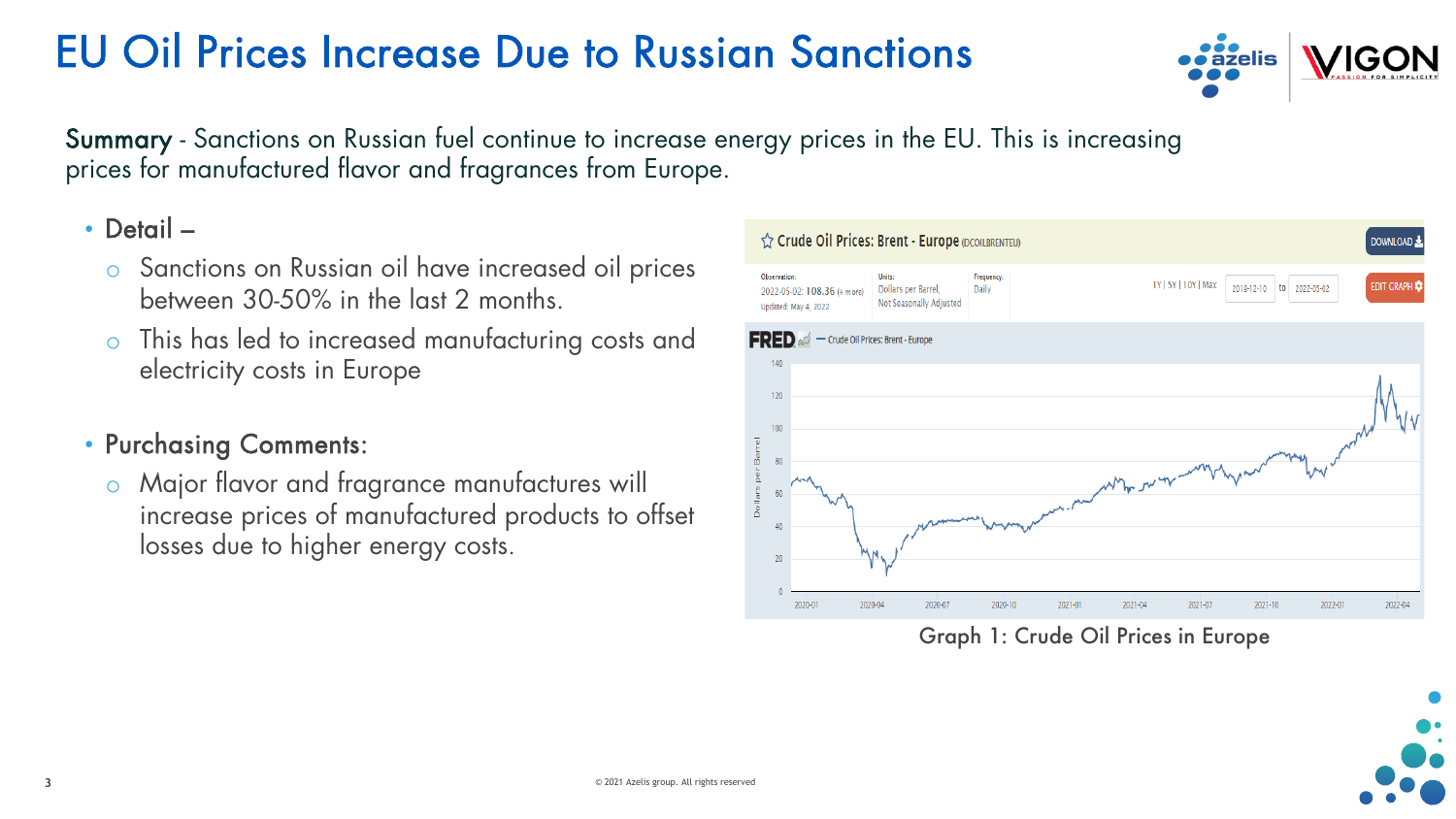### EU Oil Prices Increase Due to Russian Sanctions



Summary - Sanctions on Russian fuel continue to increase energy prices in the EU. This is increasing prices for manufactured flavor and fragrances from Europe.

#### • Detail –

- o Sanctions on Russian oil have increased oil prices between 30-50% in the last 2 months.
- o This has led to increased manufacturing costs and electricity costs in Europe

#### • Purchasing Comments:

o Major flavor and fragrance manufactures will increase prices of manufactured products to offset losses due to higher energy costs.



Graph 1: Crude Oil Prices in Europe

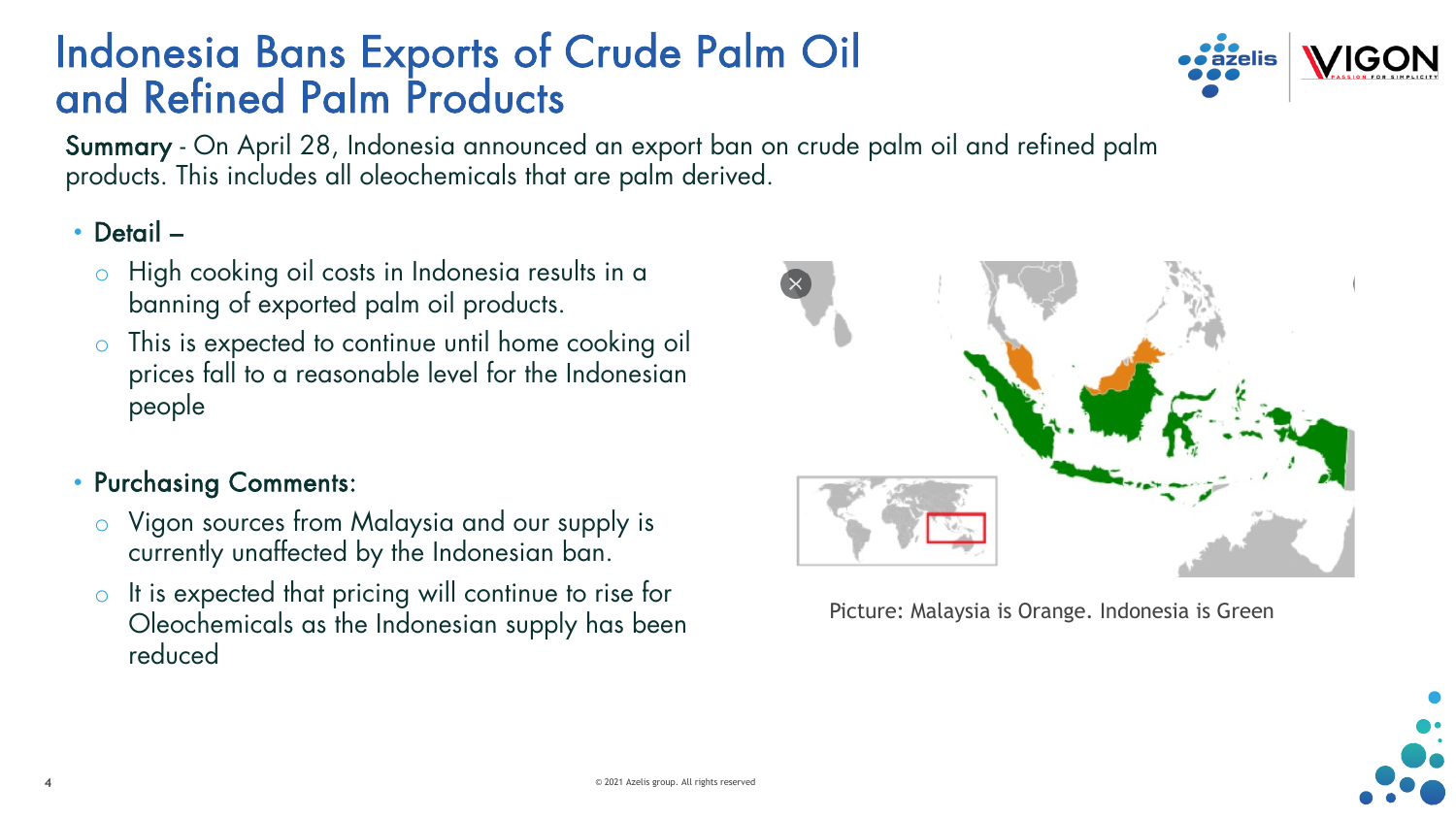### Indonesia Bans Exports of Crude Palm Oil and Refined Palm Products



Summary - On April 28, Indonesia announced an export ban on crude palm oil and refined palm products. This includes all oleochemicals that are palm derived.

• Detail –

- o High cooking oil costs in Indonesia results in a banning of exported palm oil products.
- This is expected to continue until home cooking oil prices fall to a reasonable level for the Indonesian people

#### • Purchasing Comments:

- o Vigon sources from Malaysia and our supply is currently unaffected by the Indonesian ban.
- It is expected that pricing will continue to rise for Oleochemicals as the Indonesian supply has been reduced



Picture: Malaysia is Orange. Indonesia is Green